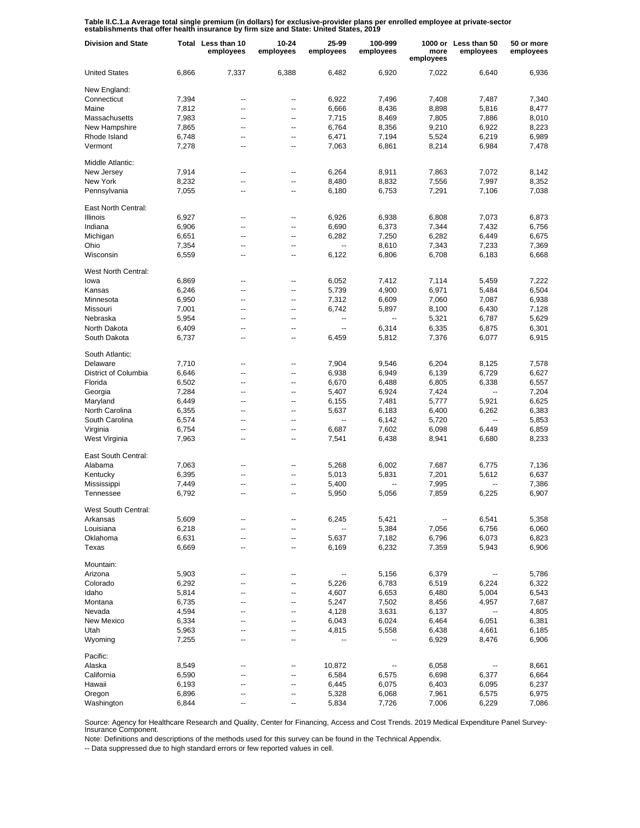Table II.C.1.a Average total single premium (in dollars) for exclusive-provider plans per enrolled employee at private-sector<br>establishments that offer health insurance by firm size and State: United States, 2019

| <b>United States</b><br>6,866<br>7,337<br>6,388<br>6,482<br>6,920<br>7,022<br>6,640<br>6,936<br>New England:<br>Connecticut<br>7,394<br>6,922<br>7,496<br>7,408<br>7,487<br>7,340<br>--<br>--<br>Maine<br>7,812<br>6,666<br>8,436<br>8,898<br>5,816<br>8,477<br>--<br>--<br>Massachusetts<br>7,983<br>7,715<br>7,805<br>7,886<br>8,010<br>8,469<br>--<br>--<br>New Hampshire<br>7,865<br>6,764<br>9,210<br>6,922<br>8,223<br>8,356<br>--<br>--<br>Rhode Island<br>6,471<br>7,194<br>5,524<br>6,219<br>6,989<br>6,748<br>--<br>--<br>Vermont<br>7,278<br>6,861<br>8,214<br>6,984<br>7,478<br>7,063<br>--<br>--<br>Middle Atlantic:<br>New Jersey<br>7,914<br>6,264<br>8,911<br>7,863<br>7,072<br>8.142<br>--<br>--<br>7,997<br>New York<br>8,232<br>8,480<br>8,832<br>7,556<br>8,352<br>--<br>--<br>Pennsylvania<br>7,291<br>7,038<br>7,055<br>6,180<br>6,753<br>7,106<br>--<br>--<br>East North Central:<br>Illinois<br>6,927<br>6,926<br>6,938<br>6,808<br>7,073<br>6,873<br>--<br>--<br>Indiana<br>6,906<br>6,690<br>6,373<br>7,344<br>7,432<br>6,756<br>--<br>--<br>Michigan<br>6,651<br>6,282<br>7,250<br>6,282<br>6,449<br>6,675<br>--<br>--<br>Ohio<br>7,354<br>8,610<br>7,343<br>7,233<br>7,369<br>--<br>--<br>Wisconsin<br>6,122<br>6,806<br>6,708<br>6,668<br>6,559<br>6,183<br>--<br>--<br>West North Central:<br>6,869<br>6,052<br>7,412<br>7,114<br>7,222<br>lowa<br>5,459<br>--<br>--<br>Kansas<br>6,246<br>5,739<br>4,900<br>6,971<br>5,484<br>6,504<br>--<br>--<br>Minnesota<br>6,950<br>7,312<br>6,609<br>7,060<br>7,087<br>6,938<br>--<br>--<br>Missouri<br>7,001<br>6,742<br>5,897<br>8,100<br>6,430<br>7,128<br>--<br>−−<br>Nebraska<br>5,954<br>5,321<br>6,787<br>5,629<br>--<br>--<br>North Dakota<br>6,409<br>6,314<br>6,335<br>6,875<br>6,301<br>--<br>٠.<br>--<br>South Dakota<br>7,376<br>6,077<br>6,915<br>6,737<br>6,459<br>5,812<br>--<br>--<br>South Atlantic:<br>Delaware<br>7,710<br>7,904<br>6,204<br>9,546<br>8,125<br>7,578<br>--<br>--<br>District of Columbia<br>6,646<br>6,938<br>6,949<br>6,729<br>6,627<br>6,139<br>--<br>--<br>Florida<br>6,502<br>6,670<br>6,805<br>6,338<br>6,557<br>6,488<br>--<br>--<br>Georgia<br>7,284<br>5,407<br>6,924<br>7,424<br>7,204<br>--<br>--<br>--<br>Maryland<br>6,449<br>6,155<br>7,481<br>5,921<br>6,625<br>5,777<br>--<br>--<br>North Carolina<br>6,355<br>5,637<br>6,183<br>6,262<br>6,383<br>6,400<br>--<br>--<br>South Carolina<br>6,574<br>6,142<br>5,720<br>5,853<br>$\overline{\phantom{a}}$<br>$\overline{\phantom{a}}$<br>--<br>--<br>Virginia<br>6,754<br>6,687<br>7,602<br>6,098<br>6,449<br>6,859<br>--<br>--<br>West Virginia<br>7,541<br>8,233<br>7,963<br>6,438<br>8,941<br>6,680<br>--<br>--<br>East South Central:<br>Alabama<br>7,063<br>5,268<br>6,002<br>7,687<br>6,775<br>7,136<br>--<br>--<br>6,395<br>5,013<br>5,831<br>7,201<br>5,612<br>6,637<br>Kentucky<br>--<br>--<br>7,995<br>7,386<br>Mississippi<br>7,449<br>5,400<br>--<br>--<br>6,792<br>7,859<br>6,225<br>6,907<br>Tennessee<br>5,950<br>5,056<br>--<br>--<br>West South Central:<br>5,609<br>5,421<br>6,541<br>5,358<br>Arkansas<br>6,245<br>5,384<br>Louisiana<br>6,218<br>7,056<br>6,756<br>6,060<br>--<br>--<br>Oklahoma<br>6,631<br>5,637<br>7,182<br>6,796<br>6,073<br>6,823<br>--<br>Texas<br>6,169<br>6,232<br>7,359<br>5,943<br>6,906<br>6,669<br>−−<br>--<br>Mountain:<br>Arizona<br>5,903<br>5,156<br>6,379<br>5,786<br>--<br>⊷<br>Colorado<br>6,292<br>5,226<br>6,783<br>6,519<br>6,224<br>6,322<br>--<br>--<br>Idaho<br>5,814<br>4,607<br>5,004<br>6,543<br>6,653<br>6,480<br>--<br>--<br>5,247<br>7,502<br>4,957<br>7,687<br>Montana<br>6,735<br>8,456<br>--<br>--<br>Nevada<br>4,594<br>4,128<br>3,631<br>6,137<br>4,805<br>--<br>$\overline{\phantom{a}}$<br>--<br>New Mexico<br>6,334<br>6,043<br>6,024<br>6,051<br>6,381<br>6,464<br>--<br>--<br>Utah<br>5,963<br>4,815<br>5,558<br>4,661<br>6,185<br>6,438<br>--<br>--<br>Wyoming<br>7,255<br>6,929<br>6,906<br>8,476<br>--<br>--<br>Pacific:<br>Alaska<br>8,549<br>10,872<br>6,058<br>8,661<br>--<br>⊷<br>California<br>6,590<br>6,584<br>6,575<br>6,698<br>6,377<br>6,664<br>Hawaii<br>6,193<br>6,075<br>6,095<br>6,237<br>6,445<br>6,403<br>--<br>--<br>Oregon<br>6,896<br>5,328<br>6,068<br>7,961<br>6,975<br>6,575<br>--<br>Washington<br>6,844<br>5,834<br>7,726<br>7,006<br>6,229<br>7,086<br>--<br>-- | <b>Division and State</b> | Total Less than 10<br>employees | $10 - 24$<br>employees | 25-99<br>employees | 100-999<br>employees | more<br>employees | 1000 or Less than 50<br>employees | 50 or more<br>employees |
|-----------------------------------------------------------------------------------------------------------------------------------------------------------------------------------------------------------------------------------------------------------------------------------------------------------------------------------------------------------------------------------------------------------------------------------------------------------------------------------------------------------------------------------------------------------------------------------------------------------------------------------------------------------------------------------------------------------------------------------------------------------------------------------------------------------------------------------------------------------------------------------------------------------------------------------------------------------------------------------------------------------------------------------------------------------------------------------------------------------------------------------------------------------------------------------------------------------------------------------------------------------------------------------------------------------------------------------------------------------------------------------------------------------------------------------------------------------------------------------------------------------------------------------------------------------------------------------------------------------------------------------------------------------------------------------------------------------------------------------------------------------------------------------------------------------------------------------------------------------------------------------------------------------------------------------------------------------------------------------------------------------------------------------------------------------------------------------------------------------------------------------------------------------------------------------------------------------------------------------------------------------------------------------------------------------------------------------------------------------------------------------------------------------------------------------------------------------------------------------------------------------------------------------------------------------------------------------------------------------------------------------------------------------------------------------------------------------------------------------------------------------------------------------------------------------------------------------------------------------------------------------------------------------------------------------------------------------------------------------------------------------------------------------------------------------------------------------------------------------------------------------------------------------------------------------------------------------------------------------------------------------------------------------------------------------------------------------------------------------------------------------------------------------------------------------------------------------------------------------------------------------------------------------------------------------------------------------------------------------------------------------------------------------------------------------------------------------------------------------------------------------------------------------------------------------------------------------------------------------------------------------------------------------------------------------------------------------------------------------------------------------------------------------------------------------------------------------------------------------------------------------------------------------------------------------------------------------------------------------------------------------------------------------------------------------------------------------------------|---------------------------|---------------------------------|------------------------|--------------------|----------------------|-------------------|-----------------------------------|-------------------------|
|                                                                                                                                                                                                                                                                                                                                                                                                                                                                                                                                                                                                                                                                                                                                                                                                                                                                                                                                                                                                                                                                                                                                                                                                                                                                                                                                                                                                                                                                                                                                                                                                                                                                                                                                                                                                                                                                                                                                                                                                                                                                                                                                                                                                                                                                                                                                                                                                                                                                                                                                                                                                                                                                                                                                                                                                                                                                                                                                                                                                                                                                                                                                                                                                                                                                                                                                                                                                                                                                                                                                                                                                                                                                                                                                                                                                                                                                                                                                                                                                                                                                                                                                                                                                                                                                                                                                               |                           |                                 |                        |                    |                      |                   |                                   |                         |
|                                                                                                                                                                                                                                                                                                                                                                                                                                                                                                                                                                                                                                                                                                                                                                                                                                                                                                                                                                                                                                                                                                                                                                                                                                                                                                                                                                                                                                                                                                                                                                                                                                                                                                                                                                                                                                                                                                                                                                                                                                                                                                                                                                                                                                                                                                                                                                                                                                                                                                                                                                                                                                                                                                                                                                                                                                                                                                                                                                                                                                                                                                                                                                                                                                                                                                                                                                                                                                                                                                                                                                                                                                                                                                                                                                                                                                                                                                                                                                                                                                                                                                                                                                                                                                                                                                                                               |                           |                                 |                        |                    |                      |                   |                                   |                         |
|                                                                                                                                                                                                                                                                                                                                                                                                                                                                                                                                                                                                                                                                                                                                                                                                                                                                                                                                                                                                                                                                                                                                                                                                                                                                                                                                                                                                                                                                                                                                                                                                                                                                                                                                                                                                                                                                                                                                                                                                                                                                                                                                                                                                                                                                                                                                                                                                                                                                                                                                                                                                                                                                                                                                                                                                                                                                                                                                                                                                                                                                                                                                                                                                                                                                                                                                                                                                                                                                                                                                                                                                                                                                                                                                                                                                                                                                                                                                                                                                                                                                                                                                                                                                                                                                                                                                               |                           |                                 |                        |                    |                      |                   |                                   |                         |
|                                                                                                                                                                                                                                                                                                                                                                                                                                                                                                                                                                                                                                                                                                                                                                                                                                                                                                                                                                                                                                                                                                                                                                                                                                                                                                                                                                                                                                                                                                                                                                                                                                                                                                                                                                                                                                                                                                                                                                                                                                                                                                                                                                                                                                                                                                                                                                                                                                                                                                                                                                                                                                                                                                                                                                                                                                                                                                                                                                                                                                                                                                                                                                                                                                                                                                                                                                                                                                                                                                                                                                                                                                                                                                                                                                                                                                                                                                                                                                                                                                                                                                                                                                                                                                                                                                                                               |                           |                                 |                        |                    |                      |                   |                                   |                         |
|                                                                                                                                                                                                                                                                                                                                                                                                                                                                                                                                                                                                                                                                                                                                                                                                                                                                                                                                                                                                                                                                                                                                                                                                                                                                                                                                                                                                                                                                                                                                                                                                                                                                                                                                                                                                                                                                                                                                                                                                                                                                                                                                                                                                                                                                                                                                                                                                                                                                                                                                                                                                                                                                                                                                                                                                                                                                                                                                                                                                                                                                                                                                                                                                                                                                                                                                                                                                                                                                                                                                                                                                                                                                                                                                                                                                                                                                                                                                                                                                                                                                                                                                                                                                                                                                                                                                               |                           |                                 |                        |                    |                      |                   |                                   |                         |
|                                                                                                                                                                                                                                                                                                                                                                                                                                                                                                                                                                                                                                                                                                                                                                                                                                                                                                                                                                                                                                                                                                                                                                                                                                                                                                                                                                                                                                                                                                                                                                                                                                                                                                                                                                                                                                                                                                                                                                                                                                                                                                                                                                                                                                                                                                                                                                                                                                                                                                                                                                                                                                                                                                                                                                                                                                                                                                                                                                                                                                                                                                                                                                                                                                                                                                                                                                                                                                                                                                                                                                                                                                                                                                                                                                                                                                                                                                                                                                                                                                                                                                                                                                                                                                                                                                                                               |                           |                                 |                        |                    |                      |                   |                                   |                         |
|                                                                                                                                                                                                                                                                                                                                                                                                                                                                                                                                                                                                                                                                                                                                                                                                                                                                                                                                                                                                                                                                                                                                                                                                                                                                                                                                                                                                                                                                                                                                                                                                                                                                                                                                                                                                                                                                                                                                                                                                                                                                                                                                                                                                                                                                                                                                                                                                                                                                                                                                                                                                                                                                                                                                                                                                                                                                                                                                                                                                                                                                                                                                                                                                                                                                                                                                                                                                                                                                                                                                                                                                                                                                                                                                                                                                                                                                                                                                                                                                                                                                                                                                                                                                                                                                                                                                               |                           |                                 |                        |                    |                      |                   |                                   |                         |
|                                                                                                                                                                                                                                                                                                                                                                                                                                                                                                                                                                                                                                                                                                                                                                                                                                                                                                                                                                                                                                                                                                                                                                                                                                                                                                                                                                                                                                                                                                                                                                                                                                                                                                                                                                                                                                                                                                                                                                                                                                                                                                                                                                                                                                                                                                                                                                                                                                                                                                                                                                                                                                                                                                                                                                                                                                                                                                                                                                                                                                                                                                                                                                                                                                                                                                                                                                                                                                                                                                                                                                                                                                                                                                                                                                                                                                                                                                                                                                                                                                                                                                                                                                                                                                                                                                                                               |                           |                                 |                        |                    |                      |                   |                                   |                         |
|                                                                                                                                                                                                                                                                                                                                                                                                                                                                                                                                                                                                                                                                                                                                                                                                                                                                                                                                                                                                                                                                                                                                                                                                                                                                                                                                                                                                                                                                                                                                                                                                                                                                                                                                                                                                                                                                                                                                                                                                                                                                                                                                                                                                                                                                                                                                                                                                                                                                                                                                                                                                                                                                                                                                                                                                                                                                                                                                                                                                                                                                                                                                                                                                                                                                                                                                                                                                                                                                                                                                                                                                                                                                                                                                                                                                                                                                                                                                                                                                                                                                                                                                                                                                                                                                                                                                               |                           |                                 |                        |                    |                      |                   |                                   |                         |
|                                                                                                                                                                                                                                                                                                                                                                                                                                                                                                                                                                                                                                                                                                                                                                                                                                                                                                                                                                                                                                                                                                                                                                                                                                                                                                                                                                                                                                                                                                                                                                                                                                                                                                                                                                                                                                                                                                                                                                                                                                                                                                                                                                                                                                                                                                                                                                                                                                                                                                                                                                                                                                                                                                                                                                                                                                                                                                                                                                                                                                                                                                                                                                                                                                                                                                                                                                                                                                                                                                                                                                                                                                                                                                                                                                                                                                                                                                                                                                                                                                                                                                                                                                                                                                                                                                                                               |                           |                                 |                        |                    |                      |                   |                                   |                         |
|                                                                                                                                                                                                                                                                                                                                                                                                                                                                                                                                                                                                                                                                                                                                                                                                                                                                                                                                                                                                                                                                                                                                                                                                                                                                                                                                                                                                                                                                                                                                                                                                                                                                                                                                                                                                                                                                                                                                                                                                                                                                                                                                                                                                                                                                                                                                                                                                                                                                                                                                                                                                                                                                                                                                                                                                                                                                                                                                                                                                                                                                                                                                                                                                                                                                                                                                                                                                                                                                                                                                                                                                                                                                                                                                                                                                                                                                                                                                                                                                                                                                                                                                                                                                                                                                                                                                               |                           |                                 |                        |                    |                      |                   |                                   |                         |
|                                                                                                                                                                                                                                                                                                                                                                                                                                                                                                                                                                                                                                                                                                                                                                                                                                                                                                                                                                                                                                                                                                                                                                                                                                                                                                                                                                                                                                                                                                                                                                                                                                                                                                                                                                                                                                                                                                                                                                                                                                                                                                                                                                                                                                                                                                                                                                                                                                                                                                                                                                                                                                                                                                                                                                                                                                                                                                                                                                                                                                                                                                                                                                                                                                                                                                                                                                                                                                                                                                                                                                                                                                                                                                                                                                                                                                                                                                                                                                                                                                                                                                                                                                                                                                                                                                                                               |                           |                                 |                        |                    |                      |                   |                                   |                         |
|                                                                                                                                                                                                                                                                                                                                                                                                                                                                                                                                                                                                                                                                                                                                                                                                                                                                                                                                                                                                                                                                                                                                                                                                                                                                                                                                                                                                                                                                                                                                                                                                                                                                                                                                                                                                                                                                                                                                                                                                                                                                                                                                                                                                                                                                                                                                                                                                                                                                                                                                                                                                                                                                                                                                                                                                                                                                                                                                                                                                                                                                                                                                                                                                                                                                                                                                                                                                                                                                                                                                                                                                                                                                                                                                                                                                                                                                                                                                                                                                                                                                                                                                                                                                                                                                                                                                               |                           |                                 |                        |                    |                      |                   |                                   |                         |
|                                                                                                                                                                                                                                                                                                                                                                                                                                                                                                                                                                                                                                                                                                                                                                                                                                                                                                                                                                                                                                                                                                                                                                                                                                                                                                                                                                                                                                                                                                                                                                                                                                                                                                                                                                                                                                                                                                                                                                                                                                                                                                                                                                                                                                                                                                                                                                                                                                                                                                                                                                                                                                                                                                                                                                                                                                                                                                                                                                                                                                                                                                                                                                                                                                                                                                                                                                                                                                                                                                                                                                                                                                                                                                                                                                                                                                                                                                                                                                                                                                                                                                                                                                                                                                                                                                                                               |                           |                                 |                        |                    |                      |                   |                                   |                         |
|                                                                                                                                                                                                                                                                                                                                                                                                                                                                                                                                                                                                                                                                                                                                                                                                                                                                                                                                                                                                                                                                                                                                                                                                                                                                                                                                                                                                                                                                                                                                                                                                                                                                                                                                                                                                                                                                                                                                                                                                                                                                                                                                                                                                                                                                                                                                                                                                                                                                                                                                                                                                                                                                                                                                                                                                                                                                                                                                                                                                                                                                                                                                                                                                                                                                                                                                                                                                                                                                                                                                                                                                                                                                                                                                                                                                                                                                                                                                                                                                                                                                                                                                                                                                                                                                                                                                               |                           |                                 |                        |                    |                      |                   |                                   |                         |
|                                                                                                                                                                                                                                                                                                                                                                                                                                                                                                                                                                                                                                                                                                                                                                                                                                                                                                                                                                                                                                                                                                                                                                                                                                                                                                                                                                                                                                                                                                                                                                                                                                                                                                                                                                                                                                                                                                                                                                                                                                                                                                                                                                                                                                                                                                                                                                                                                                                                                                                                                                                                                                                                                                                                                                                                                                                                                                                                                                                                                                                                                                                                                                                                                                                                                                                                                                                                                                                                                                                                                                                                                                                                                                                                                                                                                                                                                                                                                                                                                                                                                                                                                                                                                                                                                                                                               |                           |                                 |                        |                    |                      |                   |                                   |                         |
|                                                                                                                                                                                                                                                                                                                                                                                                                                                                                                                                                                                                                                                                                                                                                                                                                                                                                                                                                                                                                                                                                                                                                                                                                                                                                                                                                                                                                                                                                                                                                                                                                                                                                                                                                                                                                                                                                                                                                                                                                                                                                                                                                                                                                                                                                                                                                                                                                                                                                                                                                                                                                                                                                                                                                                                                                                                                                                                                                                                                                                                                                                                                                                                                                                                                                                                                                                                                                                                                                                                                                                                                                                                                                                                                                                                                                                                                                                                                                                                                                                                                                                                                                                                                                                                                                                                                               |                           |                                 |                        |                    |                      |                   |                                   |                         |
|                                                                                                                                                                                                                                                                                                                                                                                                                                                                                                                                                                                                                                                                                                                                                                                                                                                                                                                                                                                                                                                                                                                                                                                                                                                                                                                                                                                                                                                                                                                                                                                                                                                                                                                                                                                                                                                                                                                                                                                                                                                                                                                                                                                                                                                                                                                                                                                                                                                                                                                                                                                                                                                                                                                                                                                                                                                                                                                                                                                                                                                                                                                                                                                                                                                                                                                                                                                                                                                                                                                                                                                                                                                                                                                                                                                                                                                                                                                                                                                                                                                                                                                                                                                                                                                                                                                                               |                           |                                 |                        |                    |                      |                   |                                   |                         |
|                                                                                                                                                                                                                                                                                                                                                                                                                                                                                                                                                                                                                                                                                                                                                                                                                                                                                                                                                                                                                                                                                                                                                                                                                                                                                                                                                                                                                                                                                                                                                                                                                                                                                                                                                                                                                                                                                                                                                                                                                                                                                                                                                                                                                                                                                                                                                                                                                                                                                                                                                                                                                                                                                                                                                                                                                                                                                                                                                                                                                                                                                                                                                                                                                                                                                                                                                                                                                                                                                                                                                                                                                                                                                                                                                                                                                                                                                                                                                                                                                                                                                                                                                                                                                                                                                                                                               |                           |                                 |                        |                    |                      |                   |                                   |                         |
|                                                                                                                                                                                                                                                                                                                                                                                                                                                                                                                                                                                                                                                                                                                                                                                                                                                                                                                                                                                                                                                                                                                                                                                                                                                                                                                                                                                                                                                                                                                                                                                                                                                                                                                                                                                                                                                                                                                                                                                                                                                                                                                                                                                                                                                                                                                                                                                                                                                                                                                                                                                                                                                                                                                                                                                                                                                                                                                                                                                                                                                                                                                                                                                                                                                                                                                                                                                                                                                                                                                                                                                                                                                                                                                                                                                                                                                                                                                                                                                                                                                                                                                                                                                                                                                                                                                                               |                           |                                 |                        |                    |                      |                   |                                   |                         |
|                                                                                                                                                                                                                                                                                                                                                                                                                                                                                                                                                                                                                                                                                                                                                                                                                                                                                                                                                                                                                                                                                                                                                                                                                                                                                                                                                                                                                                                                                                                                                                                                                                                                                                                                                                                                                                                                                                                                                                                                                                                                                                                                                                                                                                                                                                                                                                                                                                                                                                                                                                                                                                                                                                                                                                                                                                                                                                                                                                                                                                                                                                                                                                                                                                                                                                                                                                                                                                                                                                                                                                                                                                                                                                                                                                                                                                                                                                                                                                                                                                                                                                                                                                                                                                                                                                                                               |                           |                                 |                        |                    |                      |                   |                                   |                         |
|                                                                                                                                                                                                                                                                                                                                                                                                                                                                                                                                                                                                                                                                                                                                                                                                                                                                                                                                                                                                                                                                                                                                                                                                                                                                                                                                                                                                                                                                                                                                                                                                                                                                                                                                                                                                                                                                                                                                                                                                                                                                                                                                                                                                                                                                                                                                                                                                                                                                                                                                                                                                                                                                                                                                                                                                                                                                                                                                                                                                                                                                                                                                                                                                                                                                                                                                                                                                                                                                                                                                                                                                                                                                                                                                                                                                                                                                                                                                                                                                                                                                                                                                                                                                                                                                                                                                               |                           |                                 |                        |                    |                      |                   |                                   |                         |
|                                                                                                                                                                                                                                                                                                                                                                                                                                                                                                                                                                                                                                                                                                                                                                                                                                                                                                                                                                                                                                                                                                                                                                                                                                                                                                                                                                                                                                                                                                                                                                                                                                                                                                                                                                                                                                                                                                                                                                                                                                                                                                                                                                                                                                                                                                                                                                                                                                                                                                                                                                                                                                                                                                                                                                                                                                                                                                                                                                                                                                                                                                                                                                                                                                                                                                                                                                                                                                                                                                                                                                                                                                                                                                                                                                                                                                                                                                                                                                                                                                                                                                                                                                                                                                                                                                                                               |                           |                                 |                        |                    |                      |                   |                                   |                         |
|                                                                                                                                                                                                                                                                                                                                                                                                                                                                                                                                                                                                                                                                                                                                                                                                                                                                                                                                                                                                                                                                                                                                                                                                                                                                                                                                                                                                                                                                                                                                                                                                                                                                                                                                                                                                                                                                                                                                                                                                                                                                                                                                                                                                                                                                                                                                                                                                                                                                                                                                                                                                                                                                                                                                                                                                                                                                                                                                                                                                                                                                                                                                                                                                                                                                                                                                                                                                                                                                                                                                                                                                                                                                                                                                                                                                                                                                                                                                                                                                                                                                                                                                                                                                                                                                                                                                               |                           |                                 |                        |                    |                      |                   |                                   |                         |
|                                                                                                                                                                                                                                                                                                                                                                                                                                                                                                                                                                                                                                                                                                                                                                                                                                                                                                                                                                                                                                                                                                                                                                                                                                                                                                                                                                                                                                                                                                                                                                                                                                                                                                                                                                                                                                                                                                                                                                                                                                                                                                                                                                                                                                                                                                                                                                                                                                                                                                                                                                                                                                                                                                                                                                                                                                                                                                                                                                                                                                                                                                                                                                                                                                                                                                                                                                                                                                                                                                                                                                                                                                                                                                                                                                                                                                                                                                                                                                                                                                                                                                                                                                                                                                                                                                                                               |                           |                                 |                        |                    |                      |                   |                                   |                         |
|                                                                                                                                                                                                                                                                                                                                                                                                                                                                                                                                                                                                                                                                                                                                                                                                                                                                                                                                                                                                                                                                                                                                                                                                                                                                                                                                                                                                                                                                                                                                                                                                                                                                                                                                                                                                                                                                                                                                                                                                                                                                                                                                                                                                                                                                                                                                                                                                                                                                                                                                                                                                                                                                                                                                                                                                                                                                                                                                                                                                                                                                                                                                                                                                                                                                                                                                                                                                                                                                                                                                                                                                                                                                                                                                                                                                                                                                                                                                                                                                                                                                                                                                                                                                                                                                                                                                               |                           |                                 |                        |                    |                      |                   |                                   |                         |
|                                                                                                                                                                                                                                                                                                                                                                                                                                                                                                                                                                                                                                                                                                                                                                                                                                                                                                                                                                                                                                                                                                                                                                                                                                                                                                                                                                                                                                                                                                                                                                                                                                                                                                                                                                                                                                                                                                                                                                                                                                                                                                                                                                                                                                                                                                                                                                                                                                                                                                                                                                                                                                                                                                                                                                                                                                                                                                                                                                                                                                                                                                                                                                                                                                                                                                                                                                                                                                                                                                                                                                                                                                                                                                                                                                                                                                                                                                                                                                                                                                                                                                                                                                                                                                                                                                                                               |                           |                                 |                        |                    |                      |                   |                                   |                         |
|                                                                                                                                                                                                                                                                                                                                                                                                                                                                                                                                                                                                                                                                                                                                                                                                                                                                                                                                                                                                                                                                                                                                                                                                                                                                                                                                                                                                                                                                                                                                                                                                                                                                                                                                                                                                                                                                                                                                                                                                                                                                                                                                                                                                                                                                                                                                                                                                                                                                                                                                                                                                                                                                                                                                                                                                                                                                                                                                                                                                                                                                                                                                                                                                                                                                                                                                                                                                                                                                                                                                                                                                                                                                                                                                                                                                                                                                                                                                                                                                                                                                                                                                                                                                                                                                                                                                               |                           |                                 |                        |                    |                      |                   |                                   |                         |
|                                                                                                                                                                                                                                                                                                                                                                                                                                                                                                                                                                                                                                                                                                                                                                                                                                                                                                                                                                                                                                                                                                                                                                                                                                                                                                                                                                                                                                                                                                                                                                                                                                                                                                                                                                                                                                                                                                                                                                                                                                                                                                                                                                                                                                                                                                                                                                                                                                                                                                                                                                                                                                                                                                                                                                                                                                                                                                                                                                                                                                                                                                                                                                                                                                                                                                                                                                                                                                                                                                                                                                                                                                                                                                                                                                                                                                                                                                                                                                                                                                                                                                                                                                                                                                                                                                                                               |                           |                                 |                        |                    |                      |                   |                                   |                         |
|                                                                                                                                                                                                                                                                                                                                                                                                                                                                                                                                                                                                                                                                                                                                                                                                                                                                                                                                                                                                                                                                                                                                                                                                                                                                                                                                                                                                                                                                                                                                                                                                                                                                                                                                                                                                                                                                                                                                                                                                                                                                                                                                                                                                                                                                                                                                                                                                                                                                                                                                                                                                                                                                                                                                                                                                                                                                                                                                                                                                                                                                                                                                                                                                                                                                                                                                                                                                                                                                                                                                                                                                                                                                                                                                                                                                                                                                                                                                                                                                                                                                                                                                                                                                                                                                                                                                               |                           |                                 |                        |                    |                      |                   |                                   |                         |
|                                                                                                                                                                                                                                                                                                                                                                                                                                                                                                                                                                                                                                                                                                                                                                                                                                                                                                                                                                                                                                                                                                                                                                                                                                                                                                                                                                                                                                                                                                                                                                                                                                                                                                                                                                                                                                                                                                                                                                                                                                                                                                                                                                                                                                                                                                                                                                                                                                                                                                                                                                                                                                                                                                                                                                                                                                                                                                                                                                                                                                                                                                                                                                                                                                                                                                                                                                                                                                                                                                                                                                                                                                                                                                                                                                                                                                                                                                                                                                                                                                                                                                                                                                                                                                                                                                                                               |                           |                                 |                        |                    |                      |                   |                                   |                         |
|                                                                                                                                                                                                                                                                                                                                                                                                                                                                                                                                                                                                                                                                                                                                                                                                                                                                                                                                                                                                                                                                                                                                                                                                                                                                                                                                                                                                                                                                                                                                                                                                                                                                                                                                                                                                                                                                                                                                                                                                                                                                                                                                                                                                                                                                                                                                                                                                                                                                                                                                                                                                                                                                                                                                                                                                                                                                                                                                                                                                                                                                                                                                                                                                                                                                                                                                                                                                                                                                                                                                                                                                                                                                                                                                                                                                                                                                                                                                                                                                                                                                                                                                                                                                                                                                                                                                               |                           |                                 |                        |                    |                      |                   |                                   |                         |
|                                                                                                                                                                                                                                                                                                                                                                                                                                                                                                                                                                                                                                                                                                                                                                                                                                                                                                                                                                                                                                                                                                                                                                                                                                                                                                                                                                                                                                                                                                                                                                                                                                                                                                                                                                                                                                                                                                                                                                                                                                                                                                                                                                                                                                                                                                                                                                                                                                                                                                                                                                                                                                                                                                                                                                                                                                                                                                                                                                                                                                                                                                                                                                                                                                                                                                                                                                                                                                                                                                                                                                                                                                                                                                                                                                                                                                                                                                                                                                                                                                                                                                                                                                                                                                                                                                                                               |                           |                                 |                        |                    |                      |                   |                                   |                         |
|                                                                                                                                                                                                                                                                                                                                                                                                                                                                                                                                                                                                                                                                                                                                                                                                                                                                                                                                                                                                                                                                                                                                                                                                                                                                                                                                                                                                                                                                                                                                                                                                                                                                                                                                                                                                                                                                                                                                                                                                                                                                                                                                                                                                                                                                                                                                                                                                                                                                                                                                                                                                                                                                                                                                                                                                                                                                                                                                                                                                                                                                                                                                                                                                                                                                                                                                                                                                                                                                                                                                                                                                                                                                                                                                                                                                                                                                                                                                                                                                                                                                                                                                                                                                                                                                                                                                               |                           |                                 |                        |                    |                      |                   |                                   |                         |
|                                                                                                                                                                                                                                                                                                                                                                                                                                                                                                                                                                                                                                                                                                                                                                                                                                                                                                                                                                                                                                                                                                                                                                                                                                                                                                                                                                                                                                                                                                                                                                                                                                                                                                                                                                                                                                                                                                                                                                                                                                                                                                                                                                                                                                                                                                                                                                                                                                                                                                                                                                                                                                                                                                                                                                                                                                                                                                                                                                                                                                                                                                                                                                                                                                                                                                                                                                                                                                                                                                                                                                                                                                                                                                                                                                                                                                                                                                                                                                                                                                                                                                                                                                                                                                                                                                                                               |                           |                                 |                        |                    |                      |                   |                                   |                         |
|                                                                                                                                                                                                                                                                                                                                                                                                                                                                                                                                                                                                                                                                                                                                                                                                                                                                                                                                                                                                                                                                                                                                                                                                                                                                                                                                                                                                                                                                                                                                                                                                                                                                                                                                                                                                                                                                                                                                                                                                                                                                                                                                                                                                                                                                                                                                                                                                                                                                                                                                                                                                                                                                                                                                                                                                                                                                                                                                                                                                                                                                                                                                                                                                                                                                                                                                                                                                                                                                                                                                                                                                                                                                                                                                                                                                                                                                                                                                                                                                                                                                                                                                                                                                                                                                                                                                               |                           |                                 |                        |                    |                      |                   |                                   |                         |
|                                                                                                                                                                                                                                                                                                                                                                                                                                                                                                                                                                                                                                                                                                                                                                                                                                                                                                                                                                                                                                                                                                                                                                                                                                                                                                                                                                                                                                                                                                                                                                                                                                                                                                                                                                                                                                                                                                                                                                                                                                                                                                                                                                                                                                                                                                                                                                                                                                                                                                                                                                                                                                                                                                                                                                                                                                                                                                                                                                                                                                                                                                                                                                                                                                                                                                                                                                                                                                                                                                                                                                                                                                                                                                                                                                                                                                                                                                                                                                                                                                                                                                                                                                                                                                                                                                                                               |                           |                                 |                        |                    |                      |                   |                                   |                         |
|                                                                                                                                                                                                                                                                                                                                                                                                                                                                                                                                                                                                                                                                                                                                                                                                                                                                                                                                                                                                                                                                                                                                                                                                                                                                                                                                                                                                                                                                                                                                                                                                                                                                                                                                                                                                                                                                                                                                                                                                                                                                                                                                                                                                                                                                                                                                                                                                                                                                                                                                                                                                                                                                                                                                                                                                                                                                                                                                                                                                                                                                                                                                                                                                                                                                                                                                                                                                                                                                                                                                                                                                                                                                                                                                                                                                                                                                                                                                                                                                                                                                                                                                                                                                                                                                                                                                               |                           |                                 |                        |                    |                      |                   |                                   |                         |
|                                                                                                                                                                                                                                                                                                                                                                                                                                                                                                                                                                                                                                                                                                                                                                                                                                                                                                                                                                                                                                                                                                                                                                                                                                                                                                                                                                                                                                                                                                                                                                                                                                                                                                                                                                                                                                                                                                                                                                                                                                                                                                                                                                                                                                                                                                                                                                                                                                                                                                                                                                                                                                                                                                                                                                                                                                                                                                                                                                                                                                                                                                                                                                                                                                                                                                                                                                                                                                                                                                                                                                                                                                                                                                                                                                                                                                                                                                                                                                                                                                                                                                                                                                                                                                                                                                                                               |                           |                                 |                        |                    |                      |                   |                                   |                         |
|                                                                                                                                                                                                                                                                                                                                                                                                                                                                                                                                                                                                                                                                                                                                                                                                                                                                                                                                                                                                                                                                                                                                                                                                                                                                                                                                                                                                                                                                                                                                                                                                                                                                                                                                                                                                                                                                                                                                                                                                                                                                                                                                                                                                                                                                                                                                                                                                                                                                                                                                                                                                                                                                                                                                                                                                                                                                                                                                                                                                                                                                                                                                                                                                                                                                                                                                                                                                                                                                                                                                                                                                                                                                                                                                                                                                                                                                                                                                                                                                                                                                                                                                                                                                                                                                                                                                               |                           |                                 |                        |                    |                      |                   |                                   |                         |
|                                                                                                                                                                                                                                                                                                                                                                                                                                                                                                                                                                                                                                                                                                                                                                                                                                                                                                                                                                                                                                                                                                                                                                                                                                                                                                                                                                                                                                                                                                                                                                                                                                                                                                                                                                                                                                                                                                                                                                                                                                                                                                                                                                                                                                                                                                                                                                                                                                                                                                                                                                                                                                                                                                                                                                                                                                                                                                                                                                                                                                                                                                                                                                                                                                                                                                                                                                                                                                                                                                                                                                                                                                                                                                                                                                                                                                                                                                                                                                                                                                                                                                                                                                                                                                                                                                                                               |                           |                                 |                        |                    |                      |                   |                                   |                         |
|                                                                                                                                                                                                                                                                                                                                                                                                                                                                                                                                                                                                                                                                                                                                                                                                                                                                                                                                                                                                                                                                                                                                                                                                                                                                                                                                                                                                                                                                                                                                                                                                                                                                                                                                                                                                                                                                                                                                                                                                                                                                                                                                                                                                                                                                                                                                                                                                                                                                                                                                                                                                                                                                                                                                                                                                                                                                                                                                                                                                                                                                                                                                                                                                                                                                                                                                                                                                                                                                                                                                                                                                                                                                                                                                                                                                                                                                                                                                                                                                                                                                                                                                                                                                                                                                                                                                               |                           |                                 |                        |                    |                      |                   |                                   |                         |
|                                                                                                                                                                                                                                                                                                                                                                                                                                                                                                                                                                                                                                                                                                                                                                                                                                                                                                                                                                                                                                                                                                                                                                                                                                                                                                                                                                                                                                                                                                                                                                                                                                                                                                                                                                                                                                                                                                                                                                                                                                                                                                                                                                                                                                                                                                                                                                                                                                                                                                                                                                                                                                                                                                                                                                                                                                                                                                                                                                                                                                                                                                                                                                                                                                                                                                                                                                                                                                                                                                                                                                                                                                                                                                                                                                                                                                                                                                                                                                                                                                                                                                                                                                                                                                                                                                                                               |                           |                                 |                        |                    |                      |                   |                                   |                         |
|                                                                                                                                                                                                                                                                                                                                                                                                                                                                                                                                                                                                                                                                                                                                                                                                                                                                                                                                                                                                                                                                                                                                                                                                                                                                                                                                                                                                                                                                                                                                                                                                                                                                                                                                                                                                                                                                                                                                                                                                                                                                                                                                                                                                                                                                                                                                                                                                                                                                                                                                                                                                                                                                                                                                                                                                                                                                                                                                                                                                                                                                                                                                                                                                                                                                                                                                                                                                                                                                                                                                                                                                                                                                                                                                                                                                                                                                                                                                                                                                                                                                                                                                                                                                                                                                                                                                               |                           |                                 |                        |                    |                      |                   |                                   |                         |
|                                                                                                                                                                                                                                                                                                                                                                                                                                                                                                                                                                                                                                                                                                                                                                                                                                                                                                                                                                                                                                                                                                                                                                                                                                                                                                                                                                                                                                                                                                                                                                                                                                                                                                                                                                                                                                                                                                                                                                                                                                                                                                                                                                                                                                                                                                                                                                                                                                                                                                                                                                                                                                                                                                                                                                                                                                                                                                                                                                                                                                                                                                                                                                                                                                                                                                                                                                                                                                                                                                                                                                                                                                                                                                                                                                                                                                                                                                                                                                                                                                                                                                                                                                                                                                                                                                                                               |                           |                                 |                        |                    |                      |                   |                                   |                         |
|                                                                                                                                                                                                                                                                                                                                                                                                                                                                                                                                                                                                                                                                                                                                                                                                                                                                                                                                                                                                                                                                                                                                                                                                                                                                                                                                                                                                                                                                                                                                                                                                                                                                                                                                                                                                                                                                                                                                                                                                                                                                                                                                                                                                                                                                                                                                                                                                                                                                                                                                                                                                                                                                                                                                                                                                                                                                                                                                                                                                                                                                                                                                                                                                                                                                                                                                                                                                                                                                                                                                                                                                                                                                                                                                                                                                                                                                                                                                                                                                                                                                                                                                                                                                                                                                                                                                               |                           |                                 |                        |                    |                      |                   |                                   |                         |
|                                                                                                                                                                                                                                                                                                                                                                                                                                                                                                                                                                                                                                                                                                                                                                                                                                                                                                                                                                                                                                                                                                                                                                                                                                                                                                                                                                                                                                                                                                                                                                                                                                                                                                                                                                                                                                                                                                                                                                                                                                                                                                                                                                                                                                                                                                                                                                                                                                                                                                                                                                                                                                                                                                                                                                                                                                                                                                                                                                                                                                                                                                                                                                                                                                                                                                                                                                                                                                                                                                                                                                                                                                                                                                                                                                                                                                                                                                                                                                                                                                                                                                                                                                                                                                                                                                                                               |                           |                                 |                        |                    |                      |                   |                                   |                         |
|                                                                                                                                                                                                                                                                                                                                                                                                                                                                                                                                                                                                                                                                                                                                                                                                                                                                                                                                                                                                                                                                                                                                                                                                                                                                                                                                                                                                                                                                                                                                                                                                                                                                                                                                                                                                                                                                                                                                                                                                                                                                                                                                                                                                                                                                                                                                                                                                                                                                                                                                                                                                                                                                                                                                                                                                                                                                                                                                                                                                                                                                                                                                                                                                                                                                                                                                                                                                                                                                                                                                                                                                                                                                                                                                                                                                                                                                                                                                                                                                                                                                                                                                                                                                                                                                                                                                               |                           |                                 |                        |                    |                      |                   |                                   |                         |
|                                                                                                                                                                                                                                                                                                                                                                                                                                                                                                                                                                                                                                                                                                                                                                                                                                                                                                                                                                                                                                                                                                                                                                                                                                                                                                                                                                                                                                                                                                                                                                                                                                                                                                                                                                                                                                                                                                                                                                                                                                                                                                                                                                                                                                                                                                                                                                                                                                                                                                                                                                                                                                                                                                                                                                                                                                                                                                                                                                                                                                                                                                                                                                                                                                                                                                                                                                                                                                                                                                                                                                                                                                                                                                                                                                                                                                                                                                                                                                                                                                                                                                                                                                                                                                                                                                                                               |                           |                                 |                        |                    |                      |                   |                                   |                         |
|                                                                                                                                                                                                                                                                                                                                                                                                                                                                                                                                                                                                                                                                                                                                                                                                                                                                                                                                                                                                                                                                                                                                                                                                                                                                                                                                                                                                                                                                                                                                                                                                                                                                                                                                                                                                                                                                                                                                                                                                                                                                                                                                                                                                                                                                                                                                                                                                                                                                                                                                                                                                                                                                                                                                                                                                                                                                                                                                                                                                                                                                                                                                                                                                                                                                                                                                                                                                                                                                                                                                                                                                                                                                                                                                                                                                                                                                                                                                                                                                                                                                                                                                                                                                                                                                                                                                               |                           |                                 |                        |                    |                      |                   |                                   |                         |
|                                                                                                                                                                                                                                                                                                                                                                                                                                                                                                                                                                                                                                                                                                                                                                                                                                                                                                                                                                                                                                                                                                                                                                                                                                                                                                                                                                                                                                                                                                                                                                                                                                                                                                                                                                                                                                                                                                                                                                                                                                                                                                                                                                                                                                                                                                                                                                                                                                                                                                                                                                                                                                                                                                                                                                                                                                                                                                                                                                                                                                                                                                                                                                                                                                                                                                                                                                                                                                                                                                                                                                                                                                                                                                                                                                                                                                                                                                                                                                                                                                                                                                                                                                                                                                                                                                                                               |                           |                                 |                        |                    |                      |                   |                                   |                         |
|                                                                                                                                                                                                                                                                                                                                                                                                                                                                                                                                                                                                                                                                                                                                                                                                                                                                                                                                                                                                                                                                                                                                                                                                                                                                                                                                                                                                                                                                                                                                                                                                                                                                                                                                                                                                                                                                                                                                                                                                                                                                                                                                                                                                                                                                                                                                                                                                                                                                                                                                                                                                                                                                                                                                                                                                                                                                                                                                                                                                                                                                                                                                                                                                                                                                                                                                                                                                                                                                                                                                                                                                                                                                                                                                                                                                                                                                                                                                                                                                                                                                                                                                                                                                                                                                                                                                               |                           |                                 |                        |                    |                      |                   |                                   |                         |
|                                                                                                                                                                                                                                                                                                                                                                                                                                                                                                                                                                                                                                                                                                                                                                                                                                                                                                                                                                                                                                                                                                                                                                                                                                                                                                                                                                                                                                                                                                                                                                                                                                                                                                                                                                                                                                                                                                                                                                                                                                                                                                                                                                                                                                                                                                                                                                                                                                                                                                                                                                                                                                                                                                                                                                                                                                                                                                                                                                                                                                                                                                                                                                                                                                                                                                                                                                                                                                                                                                                                                                                                                                                                                                                                                                                                                                                                                                                                                                                                                                                                                                                                                                                                                                                                                                                                               |                           |                                 |                        |                    |                      |                   |                                   |                         |
|                                                                                                                                                                                                                                                                                                                                                                                                                                                                                                                                                                                                                                                                                                                                                                                                                                                                                                                                                                                                                                                                                                                                                                                                                                                                                                                                                                                                                                                                                                                                                                                                                                                                                                                                                                                                                                                                                                                                                                                                                                                                                                                                                                                                                                                                                                                                                                                                                                                                                                                                                                                                                                                                                                                                                                                                                                                                                                                                                                                                                                                                                                                                                                                                                                                                                                                                                                                                                                                                                                                                                                                                                                                                                                                                                                                                                                                                                                                                                                                                                                                                                                                                                                                                                                                                                                                                               |                           |                                 |                        |                    |                      |                   |                                   |                         |
|                                                                                                                                                                                                                                                                                                                                                                                                                                                                                                                                                                                                                                                                                                                                                                                                                                                                                                                                                                                                                                                                                                                                                                                                                                                                                                                                                                                                                                                                                                                                                                                                                                                                                                                                                                                                                                                                                                                                                                                                                                                                                                                                                                                                                                                                                                                                                                                                                                                                                                                                                                                                                                                                                                                                                                                                                                                                                                                                                                                                                                                                                                                                                                                                                                                                                                                                                                                                                                                                                                                                                                                                                                                                                                                                                                                                                                                                                                                                                                                                                                                                                                                                                                                                                                                                                                                                               |                           |                                 |                        |                    |                      |                   |                                   |                         |
|                                                                                                                                                                                                                                                                                                                                                                                                                                                                                                                                                                                                                                                                                                                                                                                                                                                                                                                                                                                                                                                                                                                                                                                                                                                                                                                                                                                                                                                                                                                                                                                                                                                                                                                                                                                                                                                                                                                                                                                                                                                                                                                                                                                                                                                                                                                                                                                                                                                                                                                                                                                                                                                                                                                                                                                                                                                                                                                                                                                                                                                                                                                                                                                                                                                                                                                                                                                                                                                                                                                                                                                                                                                                                                                                                                                                                                                                                                                                                                                                                                                                                                                                                                                                                                                                                                                                               |                           |                                 |                        |                    |                      |                   |                                   |                         |
|                                                                                                                                                                                                                                                                                                                                                                                                                                                                                                                                                                                                                                                                                                                                                                                                                                                                                                                                                                                                                                                                                                                                                                                                                                                                                                                                                                                                                                                                                                                                                                                                                                                                                                                                                                                                                                                                                                                                                                                                                                                                                                                                                                                                                                                                                                                                                                                                                                                                                                                                                                                                                                                                                                                                                                                                                                                                                                                                                                                                                                                                                                                                                                                                                                                                                                                                                                                                                                                                                                                                                                                                                                                                                                                                                                                                                                                                                                                                                                                                                                                                                                                                                                                                                                                                                                                                               |                           |                                 |                        |                    |                      |                   |                                   |                         |
|                                                                                                                                                                                                                                                                                                                                                                                                                                                                                                                                                                                                                                                                                                                                                                                                                                                                                                                                                                                                                                                                                                                                                                                                                                                                                                                                                                                                                                                                                                                                                                                                                                                                                                                                                                                                                                                                                                                                                                                                                                                                                                                                                                                                                                                                                                                                                                                                                                                                                                                                                                                                                                                                                                                                                                                                                                                                                                                                                                                                                                                                                                                                                                                                                                                                                                                                                                                                                                                                                                                                                                                                                                                                                                                                                                                                                                                                                                                                                                                                                                                                                                                                                                                                                                                                                                                                               |                           |                                 |                        |                    |                      |                   |                                   |                         |
|                                                                                                                                                                                                                                                                                                                                                                                                                                                                                                                                                                                                                                                                                                                                                                                                                                                                                                                                                                                                                                                                                                                                                                                                                                                                                                                                                                                                                                                                                                                                                                                                                                                                                                                                                                                                                                                                                                                                                                                                                                                                                                                                                                                                                                                                                                                                                                                                                                                                                                                                                                                                                                                                                                                                                                                                                                                                                                                                                                                                                                                                                                                                                                                                                                                                                                                                                                                                                                                                                                                                                                                                                                                                                                                                                                                                                                                                                                                                                                                                                                                                                                                                                                                                                                                                                                                                               |                           |                                 |                        |                    |                      |                   |                                   |                         |
|                                                                                                                                                                                                                                                                                                                                                                                                                                                                                                                                                                                                                                                                                                                                                                                                                                                                                                                                                                                                                                                                                                                                                                                                                                                                                                                                                                                                                                                                                                                                                                                                                                                                                                                                                                                                                                                                                                                                                                                                                                                                                                                                                                                                                                                                                                                                                                                                                                                                                                                                                                                                                                                                                                                                                                                                                                                                                                                                                                                                                                                                                                                                                                                                                                                                                                                                                                                                                                                                                                                                                                                                                                                                                                                                                                                                                                                                                                                                                                                                                                                                                                                                                                                                                                                                                                                                               |                           |                                 |                        |                    |                      |                   |                                   |                         |
|                                                                                                                                                                                                                                                                                                                                                                                                                                                                                                                                                                                                                                                                                                                                                                                                                                                                                                                                                                                                                                                                                                                                                                                                                                                                                                                                                                                                                                                                                                                                                                                                                                                                                                                                                                                                                                                                                                                                                                                                                                                                                                                                                                                                                                                                                                                                                                                                                                                                                                                                                                                                                                                                                                                                                                                                                                                                                                                                                                                                                                                                                                                                                                                                                                                                                                                                                                                                                                                                                                                                                                                                                                                                                                                                                                                                                                                                                                                                                                                                                                                                                                                                                                                                                                                                                                                                               |                           |                                 |                        |                    |                      |                   |                                   |                         |

Source: Agency for Healthcare Research and Quality, Center for Financing, Access and Cost Trends. 2019 Medical Expenditure Panel Survey-Insurance Component.

Note: Definitions and descriptions of the methods used for this survey can be found in the Technical Appendix.

-- Data suppressed due to high standard errors or few reported values in cell.